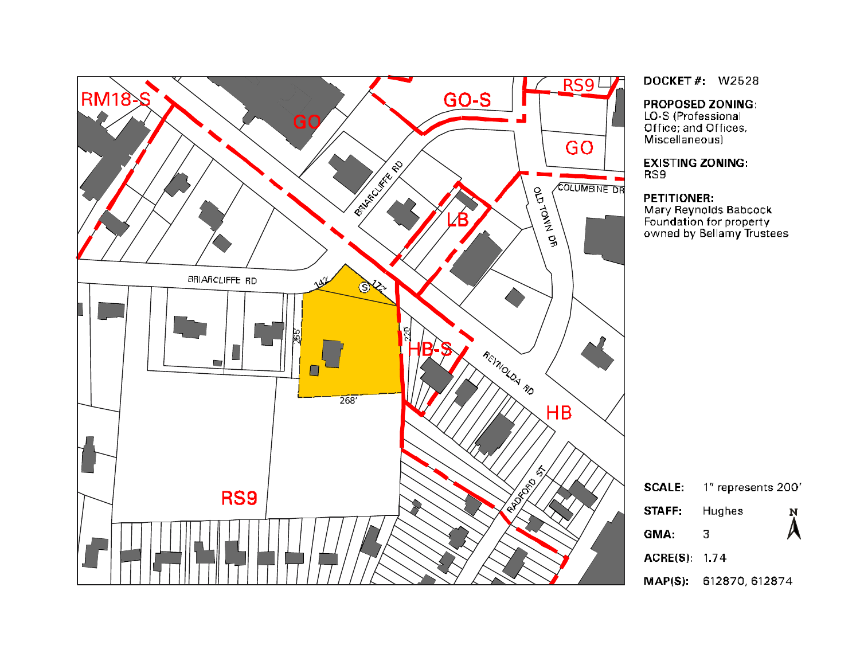

**DOCKET#: W2528** 

**PROPOSED ZONING:** 

LO-S (Professional<br>Office; and Offices, Miscellaneous)

**EXISTING ZONING:** RS9

#### **PETITIONER:**

Mary Reynolds Babcock Foundation for property<br>owned by Bellamy Trustees

| <b>SCALE:</b>       | 1" represents 200'         |  |
|---------------------|----------------------------|--|
| STAFF:              | Hughes<br>$\sum_{i=1}^{N}$ |  |
| GMA:                | 3                          |  |
| <b>ACRE(S) 1.74</b> |                            |  |
|                     | MAP(S): 612870, 612874     |  |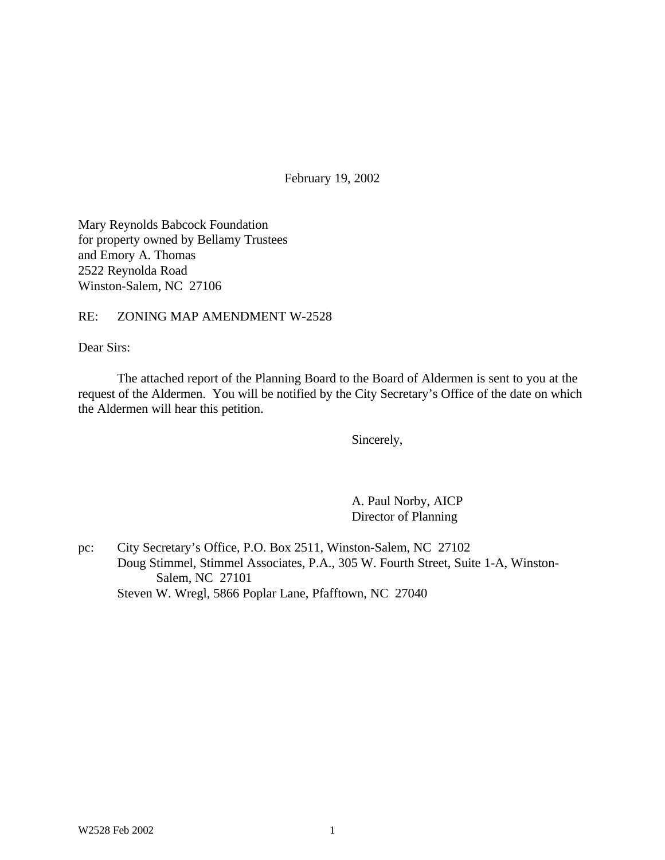February 19, 2002

Mary Reynolds Babcock Foundation for property owned by Bellamy Trustees and Emory A. Thomas 2522 Reynolda Road Winston-Salem, NC 27106

#### RE: ZONING MAP AMENDMENT W-2528

Dear Sirs:

The attached report of the Planning Board to the Board of Aldermen is sent to you at the request of the Aldermen. You will be notified by the City Secretary's Office of the date on which the Aldermen will hear this petition.

Sincerely,

A. Paul Norby, AICP Director of Planning

pc: City Secretary's Office, P.O. Box 2511, Winston-Salem, NC 27102 Doug Stimmel, Stimmel Associates, P.A., 305 W. Fourth Street, Suite 1-A, Winston-Salem, NC 27101 Steven W. Wregl, 5866 Poplar Lane, Pfafftown, NC 27040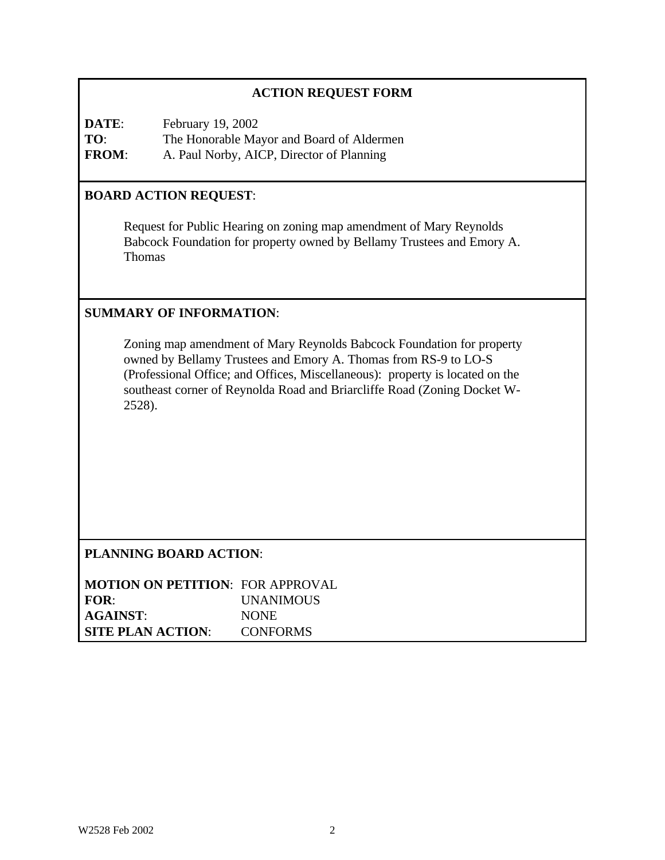# **ACTION REQUEST FORM**

**DATE**: February 19, 2002 **TO**: The Honorable Mayor and Board of Aldermen **FROM**: A. Paul Norby, AICP, Director of Planning

### **BOARD ACTION REQUEST**:

Request for Public Hearing on zoning map amendment of Mary Reynolds Babcock Foundation for property owned by Bellamy Trustees and Emory A. Thomas

#### **SUMMARY OF INFORMATION**:

Zoning map amendment of Mary Reynolds Babcock Foundation for property owned by Bellamy Trustees and Emory A. Thomas from RS-9 to LO-S (Professional Office; and Offices, Miscellaneous): property is located on the southeast corner of Reynolda Road and Briarcliffe Road (Zoning Docket W-2528).

# **PLANNING BOARD ACTION**:

| <b>MOTION ON PETITION: FOR APPROVAL</b> |                 |
|-----------------------------------------|-----------------|
| FOR:                                    | UNANIMOUS       |
| <b>AGAINST:</b>                         | <b>NONE</b>     |
| <b>SITE PLAN ACTION:</b>                | <b>CONFORMS</b> |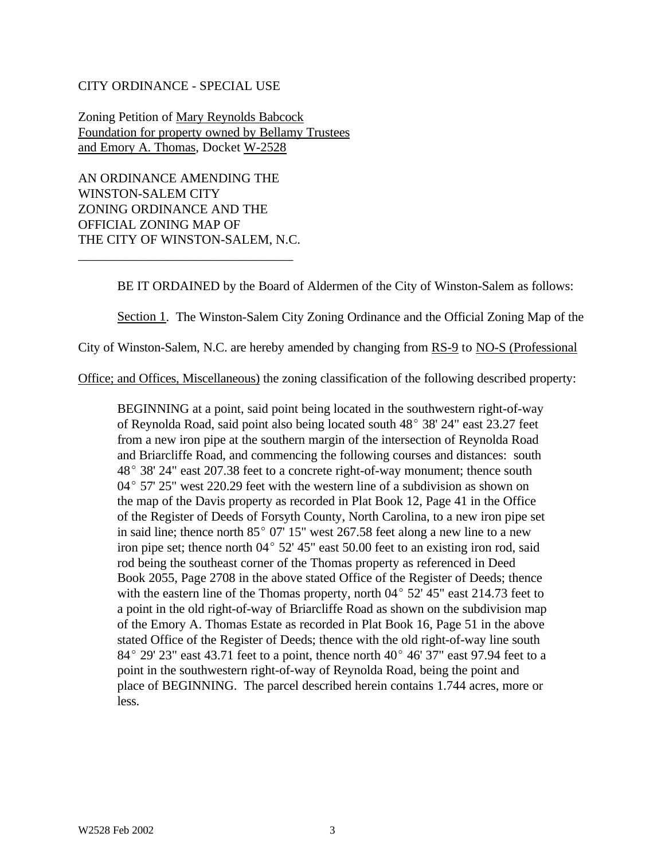#### CITY ORDINANCE - SPECIAL USE

Zoning Petition of Mary Reynolds Babcock Foundation for property owned by Bellamy Trustees and Emory A. Thomas, Docket W-2528

AN ORDINANCE AMENDING THE WINSTON-SALEM CITY ZONING ORDINANCE AND THE OFFICIAL ZONING MAP OF THE CITY OF WINSTON-SALEM, N.C.

\_\_\_\_\_\_\_\_\_\_\_\_\_\_\_\_\_\_\_\_\_\_\_\_\_\_\_\_\_\_\_\_\_

BE IT ORDAINED by the Board of Aldermen of the City of Winston-Salem as follows:

Section 1. The Winston-Salem City Zoning Ordinance and the Official Zoning Map of the

City of Winston-Salem, N.C. are hereby amended by changing from RS-9 to NO-S (Professional

Office; and Offices, Miscellaneous) the zoning classification of the following described property:

BEGINNING at a point, said point being located in the southwestern right-of-way of Reynolda Road, said point also being located south 48° 38' 24" east 23.27 feet from a new iron pipe at the southern margin of the intersection of Reynolda Road and Briarcliffe Road, and commencing the following courses and distances: south  $48^{\circ}$  38' 24" east 207.38 feet to a concrete right-of-way monument; thence south  $04^{\circ}$  57' 25" west 220.29 feet with the western line of a subdivision as shown on the map of the Davis property as recorded in Plat Book 12, Page 41 in the Office of the Register of Deeds of Forsyth County, North Carolina, to a new iron pipe set in said line; thence north  $85^{\circ}$  07' 15" west 267.58 feet along a new line to a new iron pipe set; thence north  $04^{\circ}$  52' 45" east 50.00 feet to an existing iron rod, said rod being the southeast corner of the Thomas property as referenced in Deed Book 2055, Page 2708 in the above stated Office of the Register of Deeds; thence with the eastern line of the Thomas property, north  $04^{\circ}$  52' 45" east 214.73 feet to a point in the old right-of-way of Briarcliffe Road as shown on the subdivision map of the Emory A. Thomas Estate as recorded in Plat Book 16, Page 51 in the above stated Office of the Register of Deeds; thence with the old right-of-way line south  $84^{\circ}$  29' 23" east 43.71 feet to a point, thence north  $40^{\circ}$  46' 37" east 97.94 feet to a point in the southwestern right-of-way of Reynolda Road, being the point and place of BEGINNING. The parcel described herein contains 1.744 acres, more or less.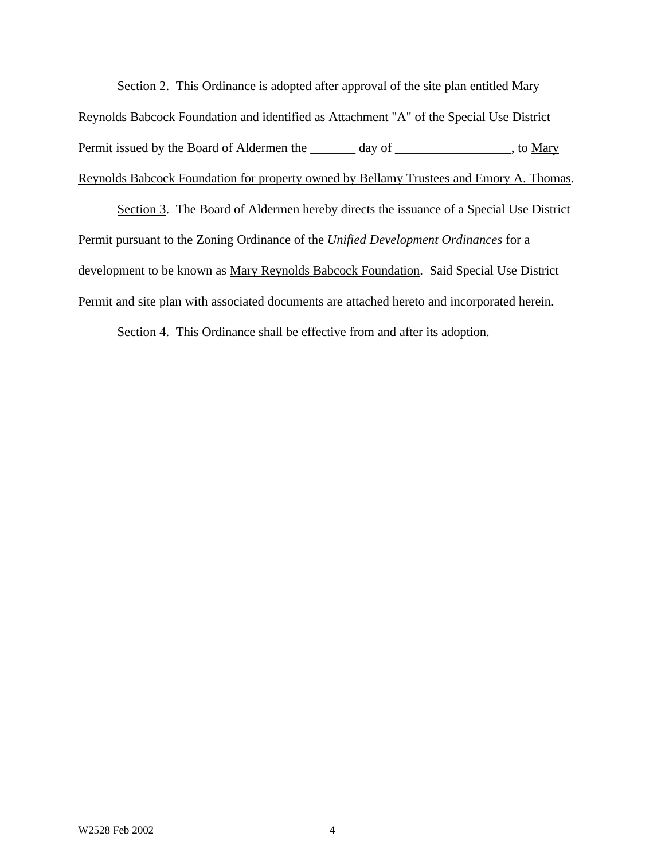Section 2. This Ordinance is adopted after approval of the site plan entitled Mary

Reynolds Babcock Foundation and identified as Attachment "A" of the Special Use District Permit issued by the Board of Aldermen the \_\_\_\_\_\_ day of \_\_\_\_\_\_\_\_\_\_\_\_\_\_\_\_, to Mary Reynolds Babcock Foundation for property owned by Bellamy Trustees and Emory A. Thomas.

Section 3. The Board of Aldermen hereby directs the issuance of a Special Use District Permit pursuant to the Zoning Ordinance of the *Unified Development Ordinances* for a development to be known as Mary Reynolds Babcock Foundation. Said Special Use District Permit and site plan with associated documents are attached hereto and incorporated herein.

Section 4. This Ordinance shall be effective from and after its adoption.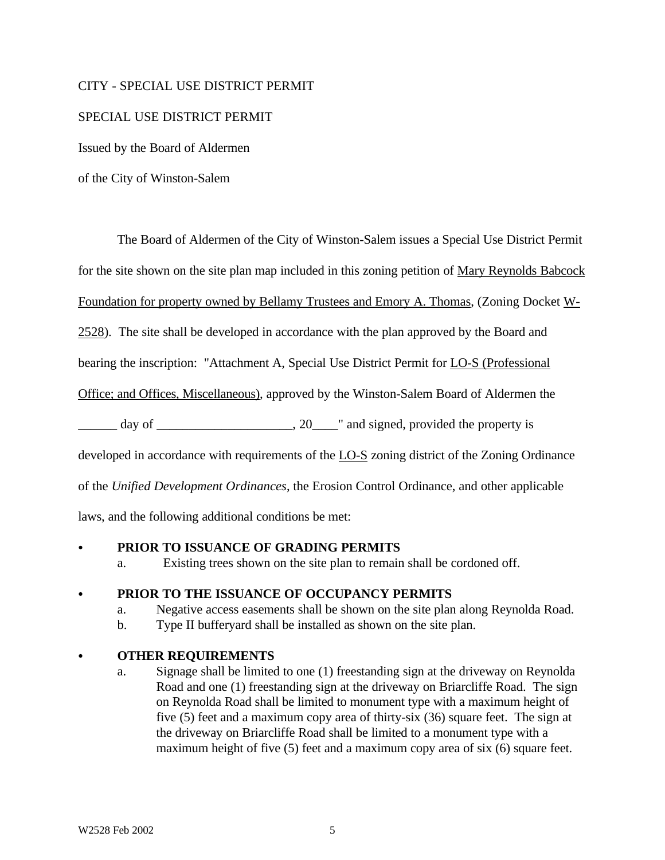#### CITY - SPECIAL USE DISTRICT PERMIT

### SPECIAL USE DISTRICT PERMIT

Issued by the Board of Aldermen

of the City of Winston-Salem

The Board of Aldermen of the City of Winston-Salem issues a Special Use District Permit

for the site shown on the site plan map included in this zoning petition of Mary Reynolds Babcock

Foundation for property owned by Bellamy Trustees and Emory A. Thomas, (Zoning Docket W-

2528). The site shall be developed in accordance with the plan approved by the Board and

bearing the inscription: "Attachment A, Special Use District Permit for LO-S (Professional

Office; and Offices, Miscellaneous), approved by the Winston-Salem Board of Aldermen the

 $\Box$  day of  $\Box$   $\Box$   $\Box$   $\Box$   $\Box$   $\Box$   $\Box$  and signed, provided the property is

developed in accordance with requirements of the LO-S zoning district of the Zoning Ordinance

of the *Unified Development Ordinances*, the Erosion Control Ordinance, and other applicable

laws, and the following additional conditions be met:

#### C **PRIOR TO ISSUANCE OF GRADING PERMITS**

a. Existing trees shown on the site plan to remain shall be cordoned off.

# C **PRIOR TO THE ISSUANCE OF OCCUPANCY PERMITS**

- a. Negative access easements shall be shown on the site plan along Reynolda Road.
- b. Type II bufferyard shall be installed as shown on the site plan.

# C **OTHER REQUIREMENTS**

a. Signage shall be limited to one (1) freestanding sign at the driveway on Reynolda Road and one (1) freestanding sign at the driveway on Briarcliffe Road. The sign on Reynolda Road shall be limited to monument type with a maximum height of five (5) feet and a maximum copy area of thirty-six (36) square feet. The sign at the driveway on Briarcliffe Road shall be limited to a monument type with a maximum height of five (5) feet and a maximum copy area of six (6) square feet.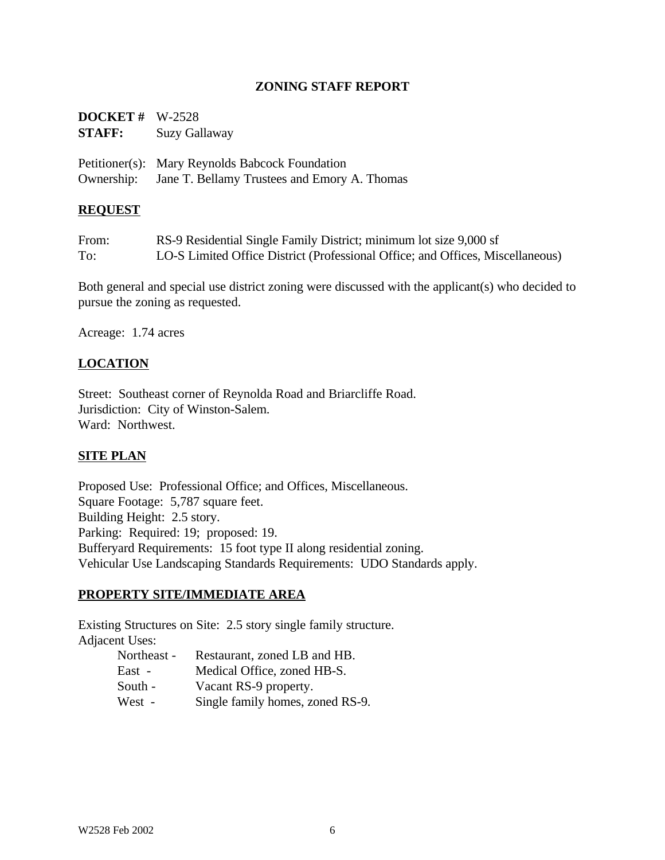### **ZONING STAFF REPORT**

| <b>DOCKET</b> # $W-2528$<br><b>STAFF:</b> | <b>Suzy Gallaway</b>                                                                                       |
|-------------------------------------------|------------------------------------------------------------------------------------------------------------|
|                                           | Petitioner(s): Mary Reynolds Babcock Foundation<br>Ownership: Jane T. Bellamy Trustees and Emory A. Thomas |

#### **REQUEST**

| From: | RS-9 Residential Single Family District; minimum lot size 9,000 sf             |
|-------|--------------------------------------------------------------------------------|
| To:   | LO-S Limited Office District (Professional Office; and Offices, Miscellaneous) |

Both general and special use district zoning were discussed with the applicant(s) who decided to pursue the zoning as requested.

Acreage: 1.74 acres

### **LOCATION**

Street: Southeast corner of Reynolda Road and Briarcliffe Road. Jurisdiction: City of Winston-Salem. Ward: Northwest.

#### **SITE PLAN**

Proposed Use: Professional Office; and Offices, Miscellaneous. Square Footage: 5,787 square feet. Building Height: 2.5 story. Parking: Required: 19; proposed: 19. Bufferyard Requirements: 15 foot type II along residential zoning. Vehicular Use Landscaping Standards Requirements: UDO Standards apply.

#### **PROPERTY SITE/IMMEDIATE AREA**

Existing Structures on Site: 2.5 story single family structure. Adjacent Uses:

| Northeast - | Restaurant, zoned LB and HB.     |
|-------------|----------------------------------|
| East -      | Medical Office, zoned HB-S.      |
| South -     | Vacant RS-9 property.            |
| West -      | Single family homes, zoned RS-9. |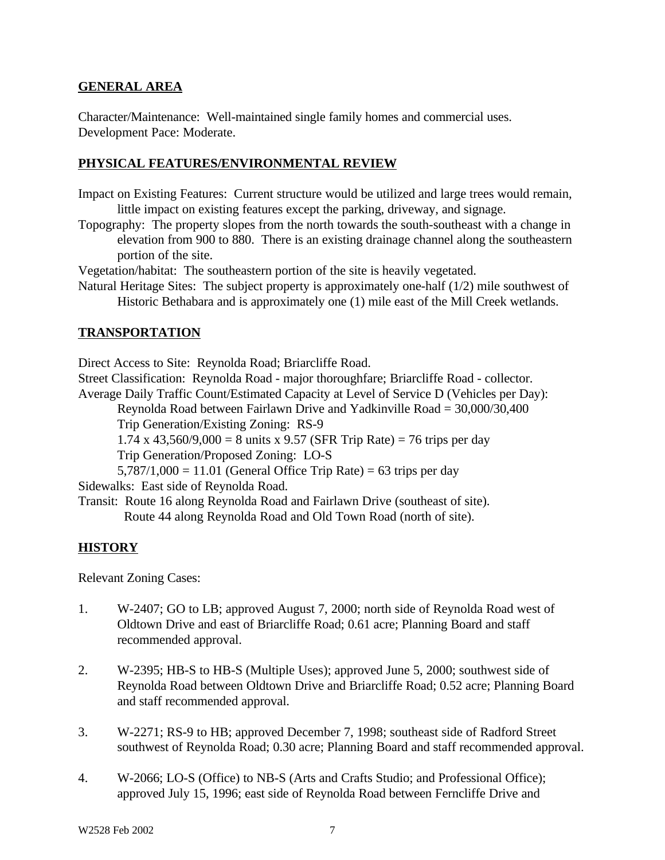### **GENERAL AREA**

Character/Maintenance: Well-maintained single family homes and commercial uses. Development Pace: Moderate.

### **PHYSICAL FEATURES/ENVIRONMENTAL REVIEW**

- Impact on Existing Features: Current structure would be utilized and large trees would remain, little impact on existing features except the parking, driveway, and signage.
- Topography: The property slopes from the north towards the south-southeast with a change in elevation from 900 to 880. There is an existing drainage channel along the southeastern portion of the site.

Vegetation/habitat: The southeastern portion of the site is heavily vegetated.

Natural Heritage Sites: The subject property is approximately one-half (1/2) mile southwest of Historic Bethabara and is approximately one (1) mile east of the Mill Creek wetlands.

# **TRANSPORTATION**

Direct Access to Site: Reynolda Road; Briarcliffe Road.

Street Classification: Reynolda Road - major thoroughfare; Briarcliffe Road - collector. Average Daily Traffic Count/Estimated Capacity at Level of Service D (Vehicles per Day):

Reynolda Road between Fairlawn Drive and Yadkinville Road = 30,000/30,400 Trip Generation/Existing Zoning: RS-9

1.74 x 43,560/9,000 = 8 units x 9.57 (SFR Trip Rate) = 76 trips per day

Trip Generation/Proposed Zoning: LO-S

 $5,787/1,000 = 11.01$  (General Office Trip Rate) = 63 trips per day

Sidewalks: East side of Reynolda Road.

Transit: Route 16 along Reynolda Road and Fairlawn Drive (southeast of site). Route 44 along Reynolda Road and Old Town Road (north of site).

# **HISTORY**

Relevant Zoning Cases:

- 1. W-2407; GO to LB; approved August 7, 2000; north side of Reynolda Road west of Oldtown Drive and east of Briarcliffe Road; 0.61 acre; Planning Board and staff recommended approval.
- 2. W-2395; HB-S to HB-S (Multiple Uses); approved June 5, 2000; southwest side of Reynolda Road between Oldtown Drive and Briarcliffe Road; 0.52 acre; Planning Board and staff recommended approval.
- 3. W-2271; RS-9 to HB; approved December 7, 1998; southeast side of Radford Street southwest of Reynolda Road; 0.30 acre; Planning Board and staff recommended approval.
- 4. W-2066; LO-S (Office) to NB-S (Arts and Crafts Studio; and Professional Office); approved July 15, 1996; east side of Reynolda Road between Ferncliffe Drive and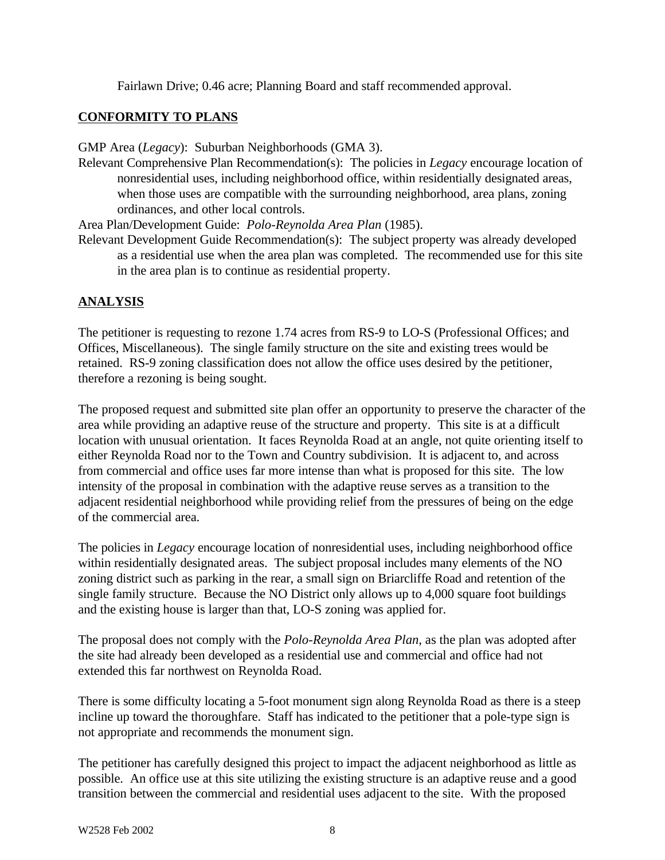Fairlawn Drive; 0.46 acre; Planning Board and staff recommended approval.

# **CONFORMITY TO PLANS**

GMP Area (*Legacy*): Suburban Neighborhoods (GMA 3).

Relevant Comprehensive Plan Recommendation(s): The policies in *Legacy* encourage location of nonresidential uses, including neighborhood office, within residentially designated areas, when those uses are compatible with the surrounding neighborhood, area plans, zoning ordinances, and other local controls.

Area Plan/Development Guide: *Polo-Reynolda Area Plan* (1985).

Relevant Development Guide Recommendation(s): The subject property was already developed as a residential use when the area plan was completed. The recommended use for this site in the area plan is to continue as residential property.

# **ANALYSIS**

The petitioner is requesting to rezone 1.74 acres from RS-9 to LO-S (Professional Offices; and Offices, Miscellaneous). The single family structure on the site and existing trees would be retained. RS-9 zoning classification does not allow the office uses desired by the petitioner, therefore a rezoning is being sought.

The proposed request and submitted site plan offer an opportunity to preserve the character of the area while providing an adaptive reuse of the structure and property. This site is at a difficult location with unusual orientation. It faces Reynolda Road at an angle, not quite orienting itself to either Reynolda Road nor to the Town and Country subdivision. It is adjacent to, and across from commercial and office uses far more intense than what is proposed for this site. The low intensity of the proposal in combination with the adaptive reuse serves as a transition to the adjacent residential neighborhood while providing relief from the pressures of being on the edge of the commercial area.

The policies in *Legacy* encourage location of nonresidential uses, including neighborhood office within residentially designated areas. The subject proposal includes many elements of the NO zoning district such as parking in the rear, a small sign on Briarcliffe Road and retention of the single family structure. Because the NO District only allows up to 4,000 square foot buildings and the existing house is larger than that, LO-S zoning was applied for.

The proposal does not comply with the *Polo-Reynolda Area Plan*, as the plan was adopted after the site had already been developed as a residential use and commercial and office had not extended this far northwest on Reynolda Road.

There is some difficulty locating a 5-foot monument sign along Reynolda Road as there is a steep incline up toward the thoroughfare. Staff has indicated to the petitioner that a pole-type sign is not appropriate and recommends the monument sign.

The petitioner has carefully designed this project to impact the adjacent neighborhood as little as possible. An office use at this site utilizing the existing structure is an adaptive reuse and a good transition between the commercial and residential uses adjacent to the site. With the proposed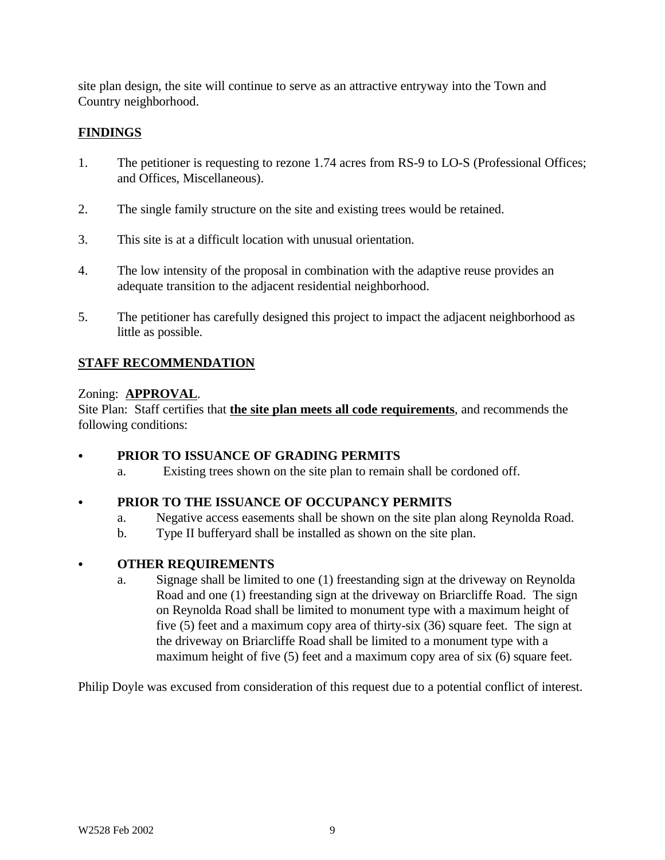site plan design, the site will continue to serve as an attractive entryway into the Town and Country neighborhood.

### **FINDINGS**

- 1. The petitioner is requesting to rezone 1.74 acres from RS-9 to LO-S (Professional Offices; and Offices, Miscellaneous).
- 2. The single family structure on the site and existing trees would be retained.
- 3. This site is at a difficult location with unusual orientation.
- 4. The low intensity of the proposal in combination with the adaptive reuse provides an adequate transition to the adjacent residential neighborhood.
- 5. The petitioner has carefully designed this project to impact the adjacent neighborhood as little as possible.

# **STAFF RECOMMENDATION**

#### Zoning: **APPROVAL**.

Site Plan: Staff certifies that **the site plan meets all code requirements**, and recommends the following conditions:

### PRIOR TO ISSUANCE OF GRADING PERMITS

a. Existing trees shown on the site plan to remain shall be cordoned off.

# PRIOR TO THE ISSUANCE OF OCCUPANCY PERMITS

- a. Negative access easements shall be shown on the site plan along Reynolda Road.
- b. Type II bufferyard shall be installed as shown on the site plan.

# C **OTHER REQUIREMENTS**

a. Signage shall be limited to one (1) freestanding sign at the driveway on Reynolda Road and one (1) freestanding sign at the driveway on Briarcliffe Road. The sign on Reynolda Road shall be limited to monument type with a maximum height of five (5) feet and a maximum copy area of thirty-six (36) square feet. The sign at the driveway on Briarcliffe Road shall be limited to a monument type with a maximum height of five (5) feet and a maximum copy area of six (6) square feet.

Philip Doyle was excused from consideration of this request due to a potential conflict of interest.